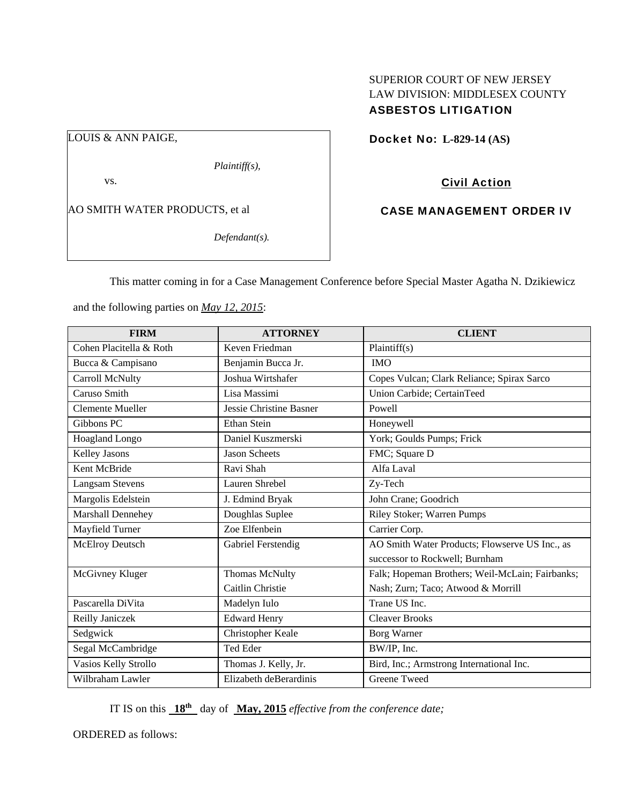# SUPERIOR COURT OF NEW JERSEY LAW DIVISION: MIDDLESEX COUNTY ASBESTOS LITIGATION

LOUIS & ANN PAIGE,

*Plaintiff(s),* 

vs.

AO SMITH WATER PRODUCTS, et al

*Defendant(s).* 

Docket No: **L-829-14 (AS)** 

Civil Action

CASE MANAGEMENT ORDER IV

This matter coming in for a Case Management Conference before Special Master Agatha N. Dzikiewicz

and the following parties on *May 12, 2015*:

| <b>FIRM</b>             | <b>ATTORNEY</b>                | <b>CLIENT</b>                                   |
|-------------------------|--------------------------------|-------------------------------------------------|
| Cohen Placitella & Roth | Keven Friedman                 | Plaintiff(s)                                    |
| Bucca & Campisano       | Benjamin Bucca Jr.             | <b>IMO</b>                                      |
| Carroll McNulty         | Joshua Wirtshafer              | Copes Vulcan; Clark Reliance; Spirax Sarco      |
| Caruso Smith            | Lisa Massimi                   | Union Carbide; CertainTeed                      |
| <b>Clemente Mueller</b> | <b>Jessie Christine Basner</b> | Powell                                          |
| Gibbons PC              | <b>Ethan Stein</b>             | Honeywell                                       |
| <b>Hoagland Longo</b>   | Daniel Kuszmerski              | York; Goulds Pumps; Frick                       |
| <b>Kelley Jasons</b>    | <b>Jason Scheets</b>           | FMC; Square D                                   |
| Kent McBride            | Ravi Shah                      | Alfa Laval                                      |
| <b>Langsam Stevens</b>  | Lauren Shrebel                 | Zy-Tech                                         |
| Margolis Edelstein      | J. Edmind Bryak                | John Crane; Goodrich                            |
| Marshall Dennehey       | Doughlas Suplee                | Riley Stoker; Warren Pumps                      |
| Mayfield Turner         | Zoe Elfenbein                  | Carrier Corp.                                   |
| McElroy Deutsch         | Gabriel Ferstendig             | AO Smith Water Products; Flowserve US Inc., as  |
|                         |                                | successor to Rockwell; Burnham                  |
| McGivney Kluger         | <b>Thomas McNulty</b>          | Falk; Hopeman Brothers; Weil-McLain; Fairbanks; |
|                         | Caitlin Christie               | Nash; Zurn; Taco; Atwood & Morrill              |
| Pascarella DiVita       | Madelyn Iulo                   | Trane US Inc.                                   |
| Reilly Janiczek         | <b>Edward Henry</b>            | <b>Cleaver Brooks</b>                           |
| Sedgwick                | Christopher Keale              | Borg Warner                                     |
| Segal McCambridge       | Ted Eder                       | BW/IP, Inc.                                     |
| Vasios Kelly Strollo    | Thomas J. Kelly, Jr.           | Bird, Inc.; Armstrong International Inc.        |
| Wilbraham Lawler        | Elizabeth deBerardinis         | <b>Greene Tweed</b>                             |

IT IS on this **18th** day of **May, 2015** *effective from the conference date;*

ORDERED as follows: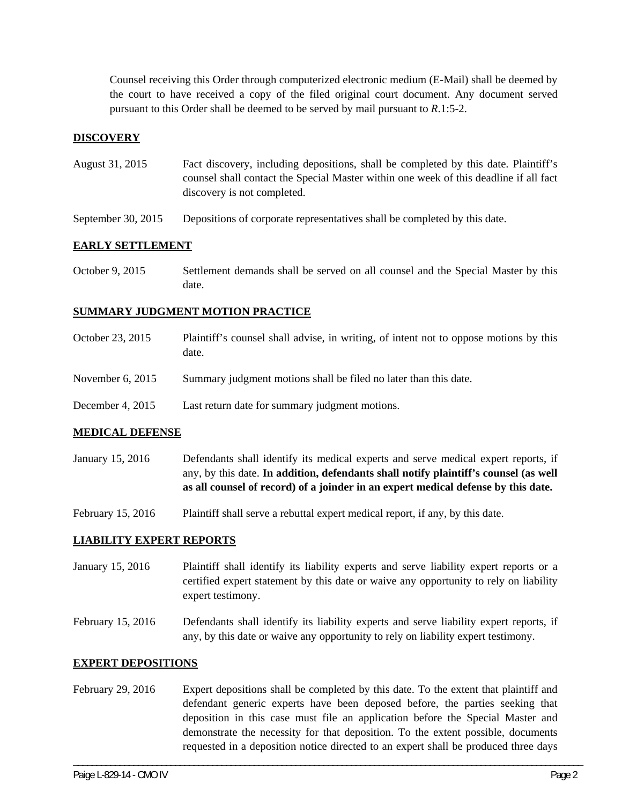Counsel receiving this Order through computerized electronic medium (E-Mail) shall be deemed by the court to have received a copy of the filed original court document. Any document served pursuant to this Order shall be deemed to be served by mail pursuant to *R*.1:5-2.

## **DISCOVERY**

- August 31, 2015 Fact discovery, including depositions, shall be completed by this date. Plaintiff's counsel shall contact the Special Master within one week of this deadline if all fact discovery is not completed.
- September 30, 2015 Depositions of corporate representatives shall be completed by this date.

## **EARLY SETTLEMENT**

October 9, 2015 Settlement demands shall be served on all counsel and the Special Master by this date.

## **SUMMARY JUDGMENT MOTION PRACTICE**

October 23, 2015 Plaintiff's counsel shall advise, in writing, of intent not to oppose motions by this date. November 6, 2015 Summary judgment motions shall be filed no later than this date. December 4, 2015 Last return date for summary judgment motions.

#### **MEDICAL DEFENSE**

- January 15, 2016 Defendants shall identify its medical experts and serve medical expert reports, if any, by this date. **In addition, defendants shall notify plaintiff's counsel (as well as all counsel of record) of a joinder in an expert medical defense by this date.**
- February 15, 2016 Plaintiff shall serve a rebuttal expert medical report, if any, by this date.

#### **LIABILITY EXPERT REPORTS**

- January 15, 2016 Plaintiff shall identify its liability experts and serve liability expert reports or a certified expert statement by this date or waive any opportunity to rely on liability expert testimony.
- February 15, 2016 Defendants shall identify its liability experts and serve liability expert reports, if any, by this date or waive any opportunity to rely on liability expert testimony.

#### **EXPERT DEPOSITIONS**

February 29, 2016 Expert depositions shall be completed by this date. To the extent that plaintiff and defendant generic experts have been deposed before, the parties seeking that deposition in this case must file an application before the Special Master and demonstrate the necessity for that deposition. To the extent possible, documents requested in a deposition notice directed to an expert shall be produced three days

\_\_\_\_\_\_\_\_\_\_\_\_\_\_\_\_\_\_\_\_\_\_\_\_\_\_\_\_\_\_\_\_\_\_\_\_\_\_\_\_\_\_\_\_\_\_\_\_\_\_\_\_\_\_\_\_\_\_\_\_\_\_\_\_\_\_\_\_\_\_\_\_\_\_\_\_\_\_\_\_\_\_\_\_\_\_\_\_\_\_\_\_\_\_\_\_\_\_\_\_\_\_\_\_\_\_\_\_\_\_